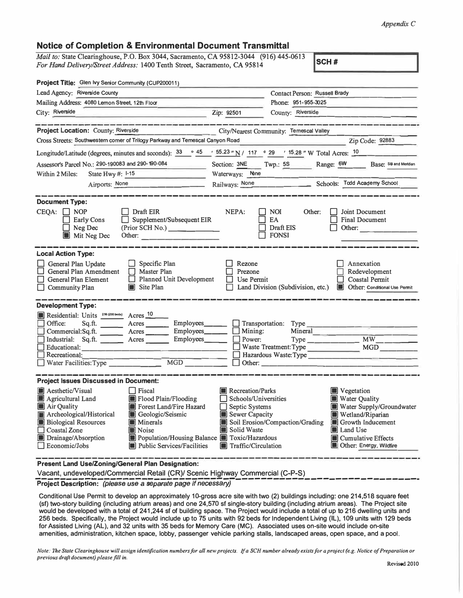## *Appendix C*

## **Notice of Completion & Environmental Document Transmittal**

*Mail to:* **State Clearinghouse,** P.O. **Box** 3044, **Sacramento, CA** 95812-3044 (916) 445-0613 *For Hand Delivery/Street Address:* 1400 Tenth Street, Sacramento, CA 95814 **SCH #** 

| Project Title: Glen Ivy Senior Community (CUP200011)                                                                                                                                                                                                                                                                                                                                                            |                                                                                                                                  |                                                         |                                                                                                                                                                                     |  |
|-----------------------------------------------------------------------------------------------------------------------------------------------------------------------------------------------------------------------------------------------------------------------------------------------------------------------------------------------------------------------------------------------------------------|----------------------------------------------------------------------------------------------------------------------------------|---------------------------------------------------------|-------------------------------------------------------------------------------------------------------------------------------------------------------------------------------------|--|
| Lead Agency: Riverside County                                                                                                                                                                                                                                                                                                                                                                                   |                                                                                                                                  | Contact Person: Russell Brady                           |                                                                                                                                                                                     |  |
| Mailing Address: 4080 Lemon Street, 12th Floor                                                                                                                                                                                                                                                                                                                                                                  |                                                                                                                                  | Phone: 951-955-3025                                     |                                                                                                                                                                                     |  |
| City: Riverside                                                                                                                                                                                                                                                                                                                                                                                                 | Zip: 92501                                                                                                                       | County: Riverside                                       |                                                                                                                                                                                     |  |
|                                                                                                                                                                                                                                                                                                                                                                                                                 |                                                                                                                                  |                                                         |                                                                                                                                                                                     |  |
| <b>Project Location: County: Riverside</b>                                                                                                                                                                                                                                                                                                                                                                      |                                                                                                                                  | City/Nearest Community: Temescal Valley                 |                                                                                                                                                                                     |  |
| Cross Streets: Southwestern corner of Trilogy Parkway and Temescal Canyon Road                                                                                                                                                                                                                                                                                                                                  |                                                                                                                                  |                                                         | Zip Code: 92883                                                                                                                                                                     |  |
| Longitude/Latitude (degrees, minutes and seconds): $\frac{33}{10}$ $\frac{45}{10}$ $\frac{155.23 \text{ m}}{10}$ / 117 $\degree$ 29 $\degree$ 15.28 $\degree$ W Total Acres: $\frac{10}{10}$                                                                                                                                                                                                                    |                                                                                                                                  |                                                         |                                                                                                                                                                                     |  |
| Assessor's Parcel No.: 290-190083 and 290-190-084                                                                                                                                                                                                                                                                                                                                                               |                                                                                                                                  | Section: 3NE Twp.: 5S Range: 6W                         | Base: SB and Meridian                                                                                                                                                               |  |
| State Hwy #: I-15<br>Within 2 Miles:                                                                                                                                                                                                                                                                                                                                                                            | Waterways: None                                                                                                                  |                                                         |                                                                                                                                                                                     |  |
| Airports: None<br>and the company of the company                                                                                                                                                                                                                                                                                                                                                                |                                                                                                                                  |                                                         | Railways: None<br><u>Chools: Todd Academy School</u>                                                                                                                                |  |
| <b>Document Type:</b><br>$CEQA: \Box NP$<br>    Draft EIR<br>$\Box$ Supplement/Subsequent EIR<br>Early Cons<br>(Prior SCH No.)<br>$\Box$ Neg Dec<br>Mit Neg Dec<br>Other:                                                                                                                                                                                                                                       | NEPA:                                                                                                                            | <b>NOI</b><br>Other:<br>EA<br>Draft EIS<br>$\Box$ fonsi | Joint Document<br>Final Document<br>Other:                                                                                                                                          |  |
| <b>Local Action Type:</b><br>General Plan Update<br>Specific Plan<br>General Plan Amendment<br>Master Plan<br><b>Planned Unit Development</b><br>L.<br>General Plan Element<br>Site Plan<br>Community Plan<br>O                                                                                                                                                                                                 | Rezone<br>Prezone<br>ΙI<br>$\Box$ Use Permit                                                                                     | Land Division (Subdivision, etc.)                       | Annexation<br>Redevelopment<br>Coastal Permit<br>Other: Conditional Use Permit                                                                                                      |  |
| <b>Development Type:</b><br>Residential: Units <sup>216 (256 beds)</sup> Acres <sup>10</sup><br>Office:<br>Sq.ft.<br>Acres Employees<br>Industrial: Sq.ft. _______ Acres ______<br>Employees_<br>Educational:<br><u> La Carlo de Carlo de la Carlo de Carlo de Carlo de Carlo de Carlo de Carlo de Carlo de Carlo de Carlo de Carlo</u><br>Recreational:<br>MGD<br>$\Box$ Water Facilities: Type                | $\Box$ Mining:<br>Power:<br>Other:                                                                                               | $\Box$ Transportation: Type $\Box$<br>Mineral           | $\overline{MW}$<br>Waste Treatment: Type MGD<br>Hazardous Waste: Type                                                                                                               |  |
| <b>Project Issues Discussed in Document:</b>                                                                                                                                                                                                                                                                                                                                                                    |                                                                                                                                  |                                                         |                                                                                                                                                                                     |  |
| <b>M</b> Aesthetic/Visual<br>$\Box$ Fiscal<br>Flood Plain/Flooding<br>$\blacksquare$ Agricultural Land<br>Forest Land/Fire Hazard<br>Air Quality<br>Archeological/Historical<br>Geologic/Seismic<br><b>Biological Resources</b><br><b>Minerals</b><br>□ Coastal Zone<br><b>Noise</b><br>Drainage/Absorption<br>Population/Housing Balance Toxic/Hazardous<br>$\Box$ Economic/Jobs<br>Public Services/Facilities | <b>Recreation/Parks</b><br>Schools/Universities<br>$\Box$ Septic Systems<br>Sewer Capacity<br>Solid Waste<br>Traffic/Circulation | Soil Erosion/Compaction/Grading                         | <b>Vegetation</b><br>Water Quality<br>Water Supply/Groundwater<br>Wetland/Riparian<br>$\blacksquare$ Growth Inducement<br>Land Use<br>Cumulative Effects<br>Other: Energy, Wildfire |  |
| Present Land Use/Zoning/General Plan Designation:                                                                                                                                                                                                                                                                                                                                                               |                                                                                                                                  |                                                         |                                                                                                                                                                                     |  |

Vacant, undeveloped/Commercial Retail (CR)/ Scenic Highway Commercial (C-P-S)<br> **Project Description:** (please use a separate page if necessary)<br>
Project Description: (please use a separate page if necessary)

Conditional Use Permit to develop an approximately 10-gross acre site with two (2) buildings including: one 214,518 square feet (sf) two-story building (including atrium areas) and one 24,570 sf single-story building (including atrium areas). The Project site would be developed with a total of 241,244 sf of building space. The Project would include a total of up to 216 dwelling units and 256 beds. Specifically, the Project would include up to 75 units with 92 beds for Independent Living {IL), 109 units with 129 beds for Assisted Living (AL), and 32 units with 35 beds for Memory Care (MC). Associated uses on-site would include on-site amenities, administration, kitchen space, lobby, passenger vehicle parking stalls, landscaped areas, open space, and a pool.

*Note: The State Clearinghouse will assign identification numbers for all new projects. If a SCH number already exists for a project (e.g. Notice of Preparation or previous draft document) please fill in.*